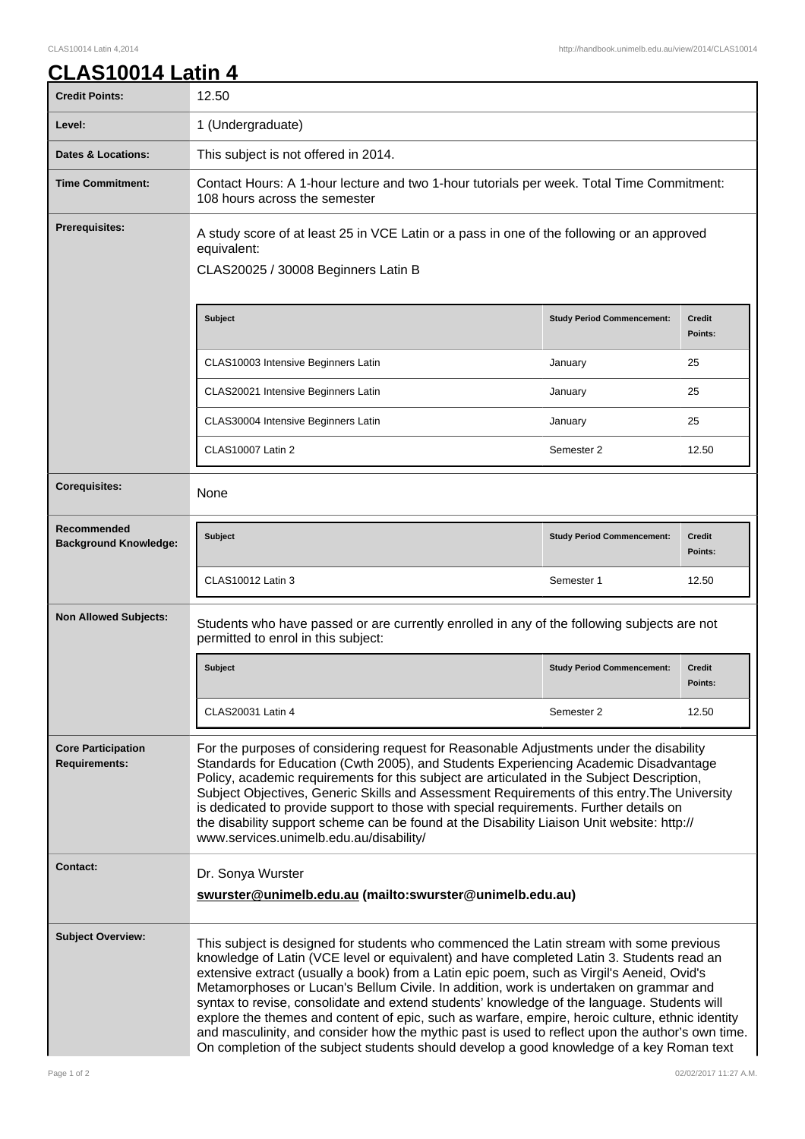## **CLAS10014 Latin 4**

| <b>Credit Points:</b>                             | 12.50                                                                                                                                                                                                                                                                                                                                                                                                                                                                                                                                                                                                                                                                                                                                                                            |                                   |                          |
|---------------------------------------------------|----------------------------------------------------------------------------------------------------------------------------------------------------------------------------------------------------------------------------------------------------------------------------------------------------------------------------------------------------------------------------------------------------------------------------------------------------------------------------------------------------------------------------------------------------------------------------------------------------------------------------------------------------------------------------------------------------------------------------------------------------------------------------------|-----------------------------------|--------------------------|
| Level:                                            | 1 (Undergraduate)                                                                                                                                                                                                                                                                                                                                                                                                                                                                                                                                                                                                                                                                                                                                                                |                                   |                          |
| <b>Dates &amp; Locations:</b>                     | This subject is not offered in 2014.                                                                                                                                                                                                                                                                                                                                                                                                                                                                                                                                                                                                                                                                                                                                             |                                   |                          |
| <b>Time Commitment:</b>                           | Contact Hours: A 1-hour lecture and two 1-hour tutorials per week. Total Time Commitment:<br>108 hours across the semester                                                                                                                                                                                                                                                                                                                                                                                                                                                                                                                                                                                                                                                       |                                   |                          |
| Prerequisites:                                    | A study score of at least 25 in VCE Latin or a pass in one of the following or an approved<br>equivalent:<br>CLAS20025 / 30008 Beginners Latin B                                                                                                                                                                                                                                                                                                                                                                                                                                                                                                                                                                                                                                 |                                   |                          |
|                                                   | <b>Subject</b>                                                                                                                                                                                                                                                                                                                                                                                                                                                                                                                                                                                                                                                                                                                                                                   | <b>Study Period Commencement:</b> | <b>Credit</b><br>Points: |
|                                                   | CLAS10003 Intensive Beginners Latin                                                                                                                                                                                                                                                                                                                                                                                                                                                                                                                                                                                                                                                                                                                                              | January                           | 25                       |
|                                                   | CLAS20021 Intensive Beginners Latin                                                                                                                                                                                                                                                                                                                                                                                                                                                                                                                                                                                                                                                                                                                                              | January                           | 25                       |
|                                                   | CLAS30004 Intensive Beginners Latin                                                                                                                                                                                                                                                                                                                                                                                                                                                                                                                                                                                                                                                                                                                                              | January                           | 25                       |
|                                                   | CLAS10007 Latin 2                                                                                                                                                                                                                                                                                                                                                                                                                                                                                                                                                                                                                                                                                                                                                                | Semester 2                        | 12.50                    |
| <b>Corequisites:</b>                              | None                                                                                                                                                                                                                                                                                                                                                                                                                                                                                                                                                                                                                                                                                                                                                                             |                                   |                          |
| Recommended<br><b>Background Knowledge:</b>       | <b>Subject</b>                                                                                                                                                                                                                                                                                                                                                                                                                                                                                                                                                                                                                                                                                                                                                                   | <b>Study Period Commencement:</b> | <b>Credit</b><br>Points: |
|                                                   | CLAS10012 Latin 3                                                                                                                                                                                                                                                                                                                                                                                                                                                                                                                                                                                                                                                                                                                                                                | Semester 1                        | 12.50                    |
| <b>Non Allowed Subjects:</b>                      | Students who have passed or are currently enrolled in any of the following subjects are not<br>permitted to enrol in this subject:                                                                                                                                                                                                                                                                                                                                                                                                                                                                                                                                                                                                                                               |                                   |                          |
|                                                   | <b>Subject</b>                                                                                                                                                                                                                                                                                                                                                                                                                                                                                                                                                                                                                                                                                                                                                                   | <b>Study Period Commencement:</b> | <b>Credit</b><br>Points: |
|                                                   | CLAS20031 Latin 4                                                                                                                                                                                                                                                                                                                                                                                                                                                                                                                                                                                                                                                                                                                                                                | Semester 2                        | 12.50                    |
| <b>Core Participation</b><br><b>Requirements:</b> | For the purposes of considering request for Reasonable Adjustments under the disability<br>Standards for Education (Cwth 2005), and Students Experiencing Academic Disadvantage<br>Policy, academic requirements for this subject are articulated in the Subject Description,<br>Subject Objectives, Generic Skills and Assessment Requirements of this entry. The University<br>is dedicated to provide support to those with special requirements. Further details on<br>the disability support scheme can be found at the Disability Liaison Unit website: http://<br>www.services.unimelb.edu.au/disability/                                                                                                                                                                 |                                   |                          |
| Contact:                                          | Dr. Sonya Wurster<br>swurster@unimelb.edu.au (mailto:swurster@unimelb.edu.au)                                                                                                                                                                                                                                                                                                                                                                                                                                                                                                                                                                                                                                                                                                    |                                   |                          |
| <b>Subject Overview:</b>                          | This subject is designed for students who commenced the Latin stream with some previous<br>knowledge of Latin (VCE level or equivalent) and have completed Latin 3. Students read an<br>extensive extract (usually a book) from a Latin epic poem, such as Virgil's Aeneid, Ovid's<br>Metamorphoses or Lucan's Bellum Civile. In addition, work is undertaken on grammar and<br>syntax to revise, consolidate and extend students' knowledge of the language. Students will<br>explore the themes and content of epic, such as warfare, empire, heroic culture, ethnic identity<br>and masculinity, and consider how the mythic past is used to reflect upon the author's own time.<br>On completion of the subject students should develop a good knowledge of a key Roman text |                                   |                          |